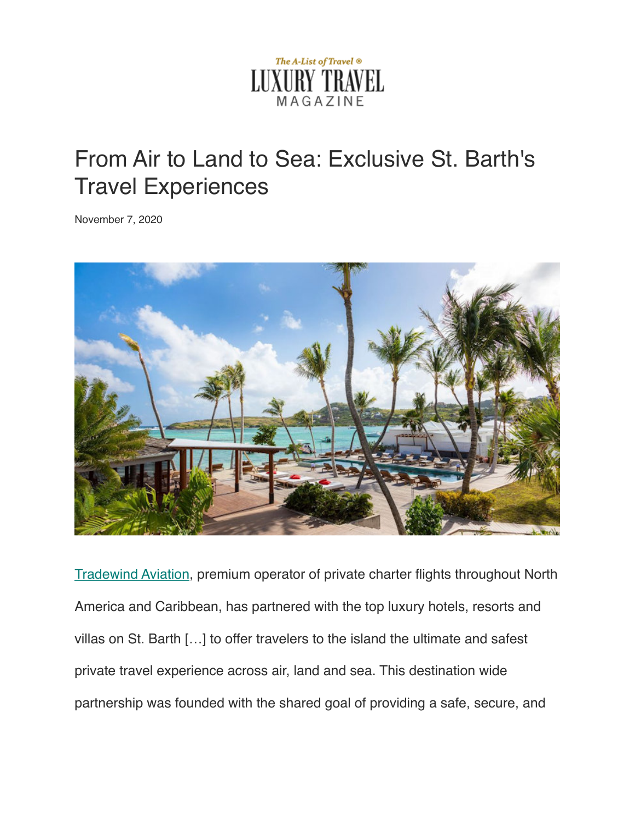

## From Air to Land to Sea: Exclusive St. Barth's Travel Experiences

November 7, 2020



[Tradewind Aviation,](https://www.flytradewind.com/) premium operator of private charter flights throughout North America and Caribbean, has partnered with the top luxury hotels, resorts and villas on St. Barth […] to offer travelers to the island the ultimate and safest private travel experience across air, land and sea. This destination wide partnership was founded with the shared goal of providing a safe, secure, and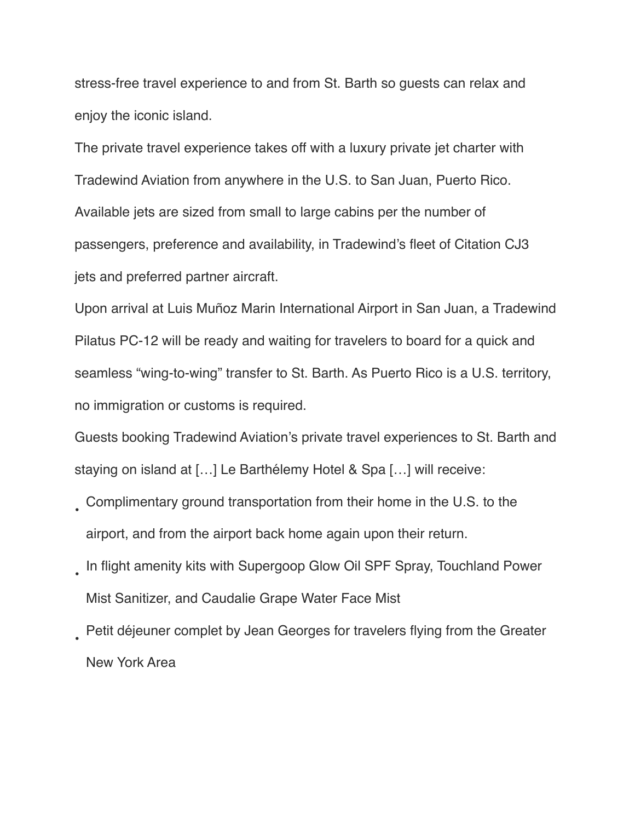stress-free travel experience to and from St. Barth so guests can relax and enjoy the iconic island.

The private travel experience takes off with a luxury private jet charter with Tradewind Aviation from anywhere in the U.S. to San Juan, Puerto Rico. Available jets are sized from small to large cabins per the number of passengers, preference and availability, in Tradewind's fleet of Citation CJ3 jets and preferred partner aircraft.

Upon arrival at Luis Muñoz Marin International Airport in San Juan, a Tradewind Pilatus PC-12 will be ready and waiting for travelers to board for a quick and seamless "wing-to-wing" transfer to St. Barth. As Puerto Rico is a U.S. territory, no immigration or customs is required.

Guests booking Tradewind Aviation's private travel experiences to St. Barth and staying on island at […] Le Barthélemy Hotel & Spa […] will receive:

- Complimentary ground transportation from their home in the U.S. to the airport, and from the airport back home again upon their return.
- In flight amenity kits with Supergoop Glow Oil SPF Spray, Touchland Power Mist Sanitizer, and Caudalie Grape Water Face Mist
- Petit déjeuner complet by Jean Georges for travelers flying from the Greater New York Area